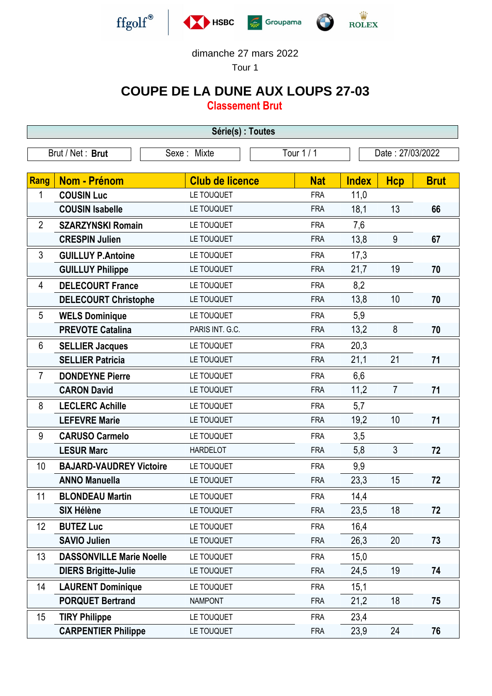

## dimanche 27 mars 2022

Tour 1

## **COUPE DE LA DUNE AUX LOUPS 27-03**

**Classement Brut**

| Série(s) : Toutes |                                 |                        |            |                  |                |             |  |  |  |
|-------------------|---------------------------------|------------------------|------------|------------------|----------------|-------------|--|--|--|
|                   | Brut / Net: Brut                | Sexe : Mixte           | Tour $1/1$ | Date: 27/03/2022 |                |             |  |  |  |
|                   |                                 |                        |            |                  |                |             |  |  |  |
| <b>Rang</b>       | <b>Nom - Prénom</b>             | <b>Club de licence</b> | <b>Nat</b> | <b>Index</b>     | <b>Hcp</b>     | <b>Brut</b> |  |  |  |
| 1                 | <b>COUSIN Luc</b>               | LE TOUQUET             | <b>FRA</b> | 11,0             |                |             |  |  |  |
|                   | <b>COUSIN Isabelle</b>          | LE TOUQUET             | <b>FRA</b> | 18,1             | 13             | 66          |  |  |  |
| $\overline{2}$    | <b>SZARZYNSKI Romain</b>        | LE TOUQUET             | <b>FRA</b> | 7,6              |                |             |  |  |  |
|                   | <b>CRESPIN Julien</b>           | LE TOUQUET             | <b>FRA</b> | 13,8             | 9              | 67          |  |  |  |
| $\mathfrak{Z}$    | <b>GUILLUY P.Antoine</b>        | LE TOUQUET             | <b>FRA</b> | 17,3             |                |             |  |  |  |
|                   | <b>GUILLUY Philippe</b>         | LE TOUQUET             | <b>FRA</b> | 21,7             | 19             | 70          |  |  |  |
| 4                 | <b>DELECOURT France</b>         | LE TOUQUET             | <b>FRA</b> | 8,2              |                |             |  |  |  |
|                   | <b>DELECOURT Christophe</b>     | LE TOUQUET             | <b>FRA</b> | 13,8             | 10             | 70          |  |  |  |
| 5                 | <b>WELS Dominique</b>           | LE TOUQUET             | <b>FRA</b> | 5,9              |                |             |  |  |  |
|                   | <b>PREVOTE Catalina</b>         | PARIS INT. G.C.        | <b>FRA</b> | 13,2             | 8              | 70          |  |  |  |
| 6                 | <b>SELLIER Jacques</b>          | LE TOUQUET             | <b>FRA</b> | 20,3             |                |             |  |  |  |
|                   | <b>SELLIER Patricia</b>         | LE TOUQUET             | <b>FRA</b> | 21,1             | 21             | 71          |  |  |  |
| $\overline{7}$    | <b>DONDEYNE Pierre</b>          | LE TOUQUET             | <b>FRA</b> | 6,6              |                |             |  |  |  |
|                   | <b>CARON David</b>              | LE TOUQUET             | <b>FRA</b> | 11,2             | $\overline{7}$ | 71          |  |  |  |
| 8                 | <b>LECLERC Achille</b>          | LE TOUQUET             | <b>FRA</b> | 5,7              |                |             |  |  |  |
|                   | <b>LEFEVRE Marie</b>            | LE TOUQUET             | <b>FRA</b> | 19,2             | 10             | 71          |  |  |  |
| 9                 | <b>CARUSO Carmelo</b>           | LE TOUQUET             | <b>FRA</b> | 3,5              |                |             |  |  |  |
|                   | <b>LESUR Marc</b>               | <b>HARDELOT</b>        | <b>FRA</b> | 5,8              | $\mathfrak{Z}$ | 72          |  |  |  |
| 10                | <b>BAJARD-VAUDREY Victoire</b>  | LE TOUQUET             | <b>FRA</b> | 9,9              |                |             |  |  |  |
|                   | <b>ANNO Manuella</b>            | LE TOUQUET             | <b>FRA</b> | 23,3             | 15             | 72          |  |  |  |
| 11                | <b>BLONDEAU Martin</b>          | LE TOUQUET             | FRA        | 14,4             |                |             |  |  |  |
|                   | <b>SIX Hélène</b>               | LE TOUQUET             | <b>FRA</b> | 23,5             | 18             | 72          |  |  |  |
| 12                | <b>BUTEZ Luc</b>                | LE TOUQUET             | <b>FRA</b> | 16,4             |                |             |  |  |  |
|                   | <b>SAVIO Julien</b>             | LE TOUQUET             | <b>FRA</b> | 26,3             | 20             | 73          |  |  |  |
| 13                | <b>DASSONVILLE Marie Noelle</b> | LE TOUQUET             | <b>FRA</b> | 15,0             |                |             |  |  |  |
|                   | <b>DIERS Brigitte-Julie</b>     | LE TOUQUET             | <b>FRA</b> | 24,5             | 19             | 74          |  |  |  |
| 14                | <b>LAURENT Dominique</b>        | LE TOUQUET             | <b>FRA</b> | 15,1             |                |             |  |  |  |
|                   | <b>PORQUET Bertrand</b>         | <b>NAMPONT</b>         | <b>FRA</b> | 21,2             | 18             | 75          |  |  |  |
| 15                | <b>TIRY Philippe</b>            | LE TOUQUET             | <b>FRA</b> | 23,4             |                |             |  |  |  |
|                   | <b>CARPENTIER Philippe</b>      | LE TOUQUET             | <b>FRA</b> | 23,9             | 24             | 76          |  |  |  |